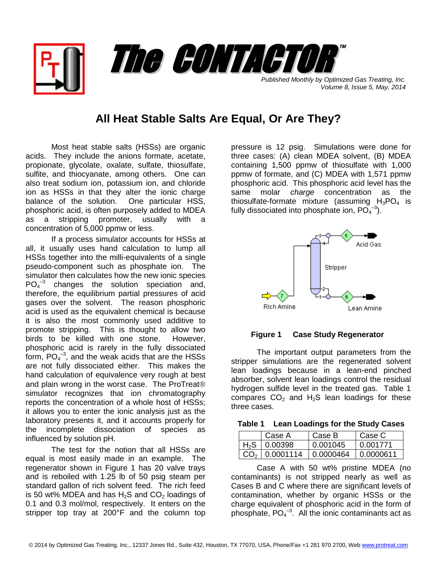

*Published Monthly by Optimized Gas Treating, Inc. Volume 8, Issue 5, May, 2014*

## **All Heat Stable Salts Are Equal, Or Are They?**

Most heat stable salts (HSSs) are organic acids. They include the anions formate, acetate, propionate, glycolate, oxalate, sulfate, thiosulfate, sulfite, and thiocyanate, among others. One can also treat sodium ion, potassium ion, and chloride ion as HSSs in that they alter the ionic charge balance of the solution. One particular HSS, phosphoric acid, is often purposely added to MDEA as a stripping promoter, usually with a concentration of 5,000 ppmw or less.

If a process simulator accounts for HSSs at all, it usually uses hand calculation to lump all HSSs together into the milli-equivalents of a single pseudo-component such as phosphate ion. The simulator then calculates how the new ionic species  $PO<sub>4</sub><sup>-3</sup>$  changes the solution speciation and, therefore, the equilibrium partial pressures of acid gases over the solvent. The reason phosphoric acid is used as the equivalent chemical is because it is also the most commonly used additive to promote stripping. This is thought to allow two birds to be killed with one stone. However, phosphoric acid is rarely in the fully dissociated form,  $PO_4^{-3}$ , and the weak acids that are the HSSs are not fully dissociated either. This makes the hand calculation of equivalence very rough at best and plain wrong in the worst case. The ProTreat® simulator recognizes that ion chromatography reports the concentration of a whole host of HSSs; it allows you to enter the ionic analysis just as the laboratory presents it, and it accounts properly for the incomplete dissociation of species as influenced by solution pH.

The test for the notion that all HSSs are equal is most easily made in an example. The regenerator shown in Figure 1 has 20 valve trays and is reboiled with 1.25 lb of 50 psig steam per standard gallon of rich solvent feed. The rich feed is 50 wt% MDEA and has  $H_2S$  and  $CO_2$  loadings of 0.1 and 0.3 mol/mol, respectively. It enters on the stripper top tray at 200°F and the column top

pressure is 12 psig. Simulations were done for three cases: (A) clean MDEA solvent, (B) MDEA containing 1,500 ppmw of thiosulfate with 1,000 ppmw of formate, and (C) MDEA with 1,571 ppmw phosphoric acid. This phosphoric acid level has the same molar *charge* concentration as the thiosulfate-formate mixture (assuming  $H_3PO_4$  is fully dissociated into phosphate ion,  $PO_4^{-3}$ ).



## **Figure 1 Case Study Regenerator**

The important output parameters from the stripper simulations are the regenerated solvent lean loadings because in a lean-end pinched absorber, solvent lean loadings control the residual hydrogen sulfide level in the treated gas. Table 1 compares  $CO<sub>2</sub>$  and H<sub>2</sub>S lean loadings for these three cases.

|  |  | Table 1 Lean Loadings for the Study Cases |  |  |  |
|--|--|-------------------------------------------|--|--|--|
|--|--|-------------------------------------------|--|--|--|

|                 | Case A    | Case B    | Case C    |
|-----------------|-----------|-----------|-----------|
| H2S.            | 0.00398   | 0.001045  | 0.001771  |
| CO <sub>2</sub> | 0.0001114 | 0.0000464 | 0.0000611 |

Case A with 50 wt% pristine MDEA (no contaminants) is not stripped nearly as well as Cases B and C where there are significant levels of contamination, whether by organic HSSs or the charge equivalent of phosphoric acid in the form of phosphate,  $PO_4^{-3}$ . All the ionic contaminants act as